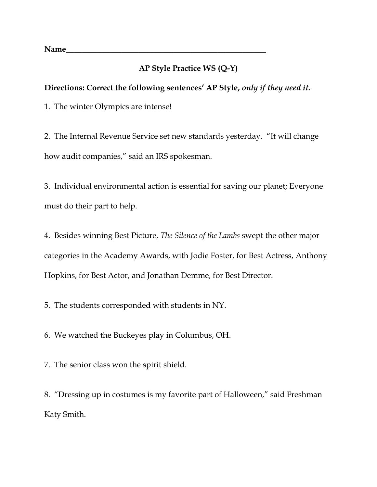**Name\_\_\_\_\_\_\_\_\_\_\_\_\_\_\_\_\_\_\_\_\_\_\_\_\_\_\_\_\_\_\_\_\_\_\_\_\_\_\_\_\_\_\_\_\_\_\_\_\_\_**

## **AP Style Practice WS (Q-Y)**

## **Directions: Correct the following sentences' AP Style,** *only if they need it.*

1. The winter Olympics are intense!

2. The Internal Revenue Service set new standards yesterday. "It will change how audit companies," said an IRS spokesman.

3. Individual environmental action is essential for saving our planet; Everyone must do their part to help.

4. Besides winning Best Picture, *The Silence of the Lambs* swept the other major categories in the Academy Awards, with Jodie Foster, for Best Actress, Anthony Hopkins, for Best Actor, and Jonathan Demme, for Best Director.

5. The students corresponded with students in NY.

6. We watched the Buckeyes play in Columbus, OH.

7. The senior class won the spirit shield.

8. "Dressing up in costumes is my favorite part of Halloween," said Freshman Katy Smith.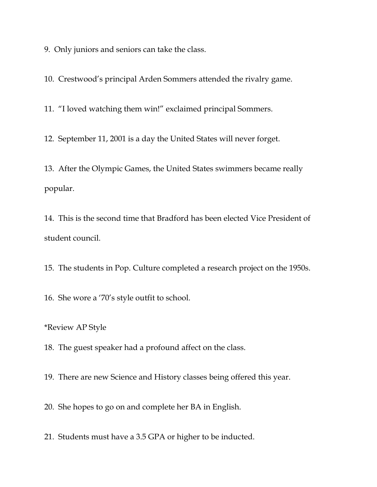9. Only juniors and seniors can take the class.

10. Crestwood's principal Arden Sommers attended the rivalry game.

11. "I loved watching them win!" exclaimed principal Sommers.

12. September 11, 2001 is a day the United States will never forget.

13. After the Olympic Games, the United States swimmers became really popular.

14. This is the second time that Bradford has been elected Vice President of student council.

15. The students in Pop. Culture completed a research project on the 1950s.

16. She wore a '70's style outfit to school.

\*Review AP Style

18. The guest speaker had a profound affect on the class.

19. There are new Science and History classes being offered this year.

20. She hopes to go on and complete her BA in English.

21. Students must have a 3.5 GPA or higher to be inducted.